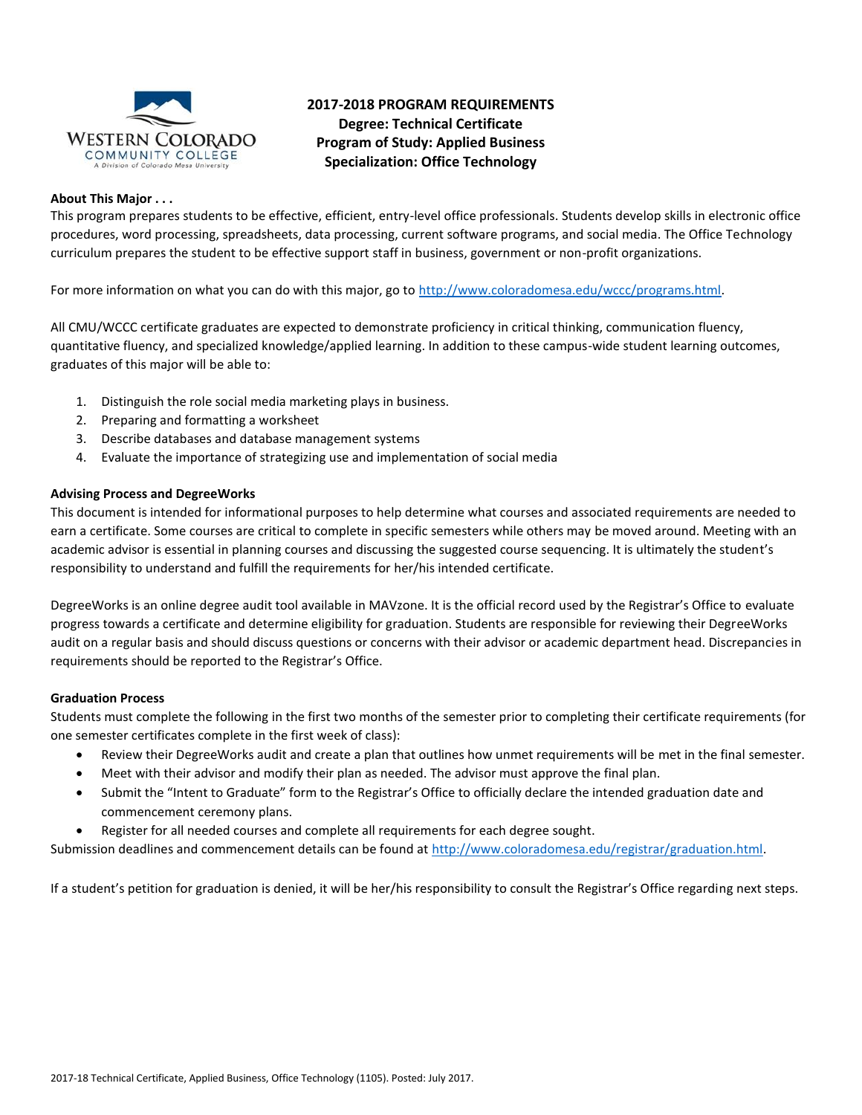

## **2017-2018 PROGRAM REQUIREMENTS Degree: Technical Certificate Program of Study: Applied Business Specialization: Office Technology**

### **About This Major . . .**

This program prepares students to be effective, efficient, entry-level office professionals. Students develop skills in electronic office procedures, word processing, spreadsheets, data processing, current software programs, and social media. The Office Technology curriculum prepares the student to be effective support staff in business, government or non-profit organizations.

For more information on what you can do with this major, go to [http://www.coloradomesa.edu/wccc/programs.html.](http://www.coloradomesa.edu/wccc/programs.html)

All CMU/WCCC certificate graduates are expected to demonstrate proficiency in critical thinking, communication fluency, quantitative fluency, and specialized knowledge/applied learning. In addition to these campus-wide student learning outcomes, graduates of this major will be able to:

- 1. Distinguish the role social media marketing plays in business.
- 2. Preparing and formatting a worksheet
- 3. Describe databases and database management systems
- 4. Evaluate the importance of strategizing use and implementation of social media

### **Advising Process and DegreeWorks**

This document is intended for informational purposes to help determine what courses and associated requirements are needed to earn a certificate. Some courses are critical to complete in specific semesters while others may be moved around. Meeting with an academic advisor is essential in planning courses and discussing the suggested course sequencing. It is ultimately the student's responsibility to understand and fulfill the requirements for her/his intended certificate.

DegreeWorks is an online degree audit tool available in MAVzone. It is the official record used by the Registrar's Office to evaluate progress towards a certificate and determine eligibility for graduation. Students are responsible for reviewing their DegreeWorks audit on a regular basis and should discuss questions or concerns with their advisor or academic department head. Discrepancies in requirements should be reported to the Registrar's Office.

### **Graduation Process**

Students must complete the following in the first two months of the semester prior to completing their certificate requirements (for one semester certificates complete in the first week of class):

- Review their DegreeWorks audit and create a plan that outlines how unmet requirements will be met in the final semester.
- Meet with their advisor and modify their plan as needed. The advisor must approve the final plan.
- Submit the "Intent to Graduate" form to the Registrar's Office to officially declare the intended graduation date and commencement ceremony plans.
- Register for all needed courses and complete all requirements for each degree sought.

Submission deadlines and commencement details can be found at [http://www.coloradomesa.edu/registrar/graduation.html.](http://www.coloradomesa.edu/registrar/graduation.html)

If a student's petition for graduation is denied, it will be her/his responsibility to consult the Registrar's Office regarding next steps.